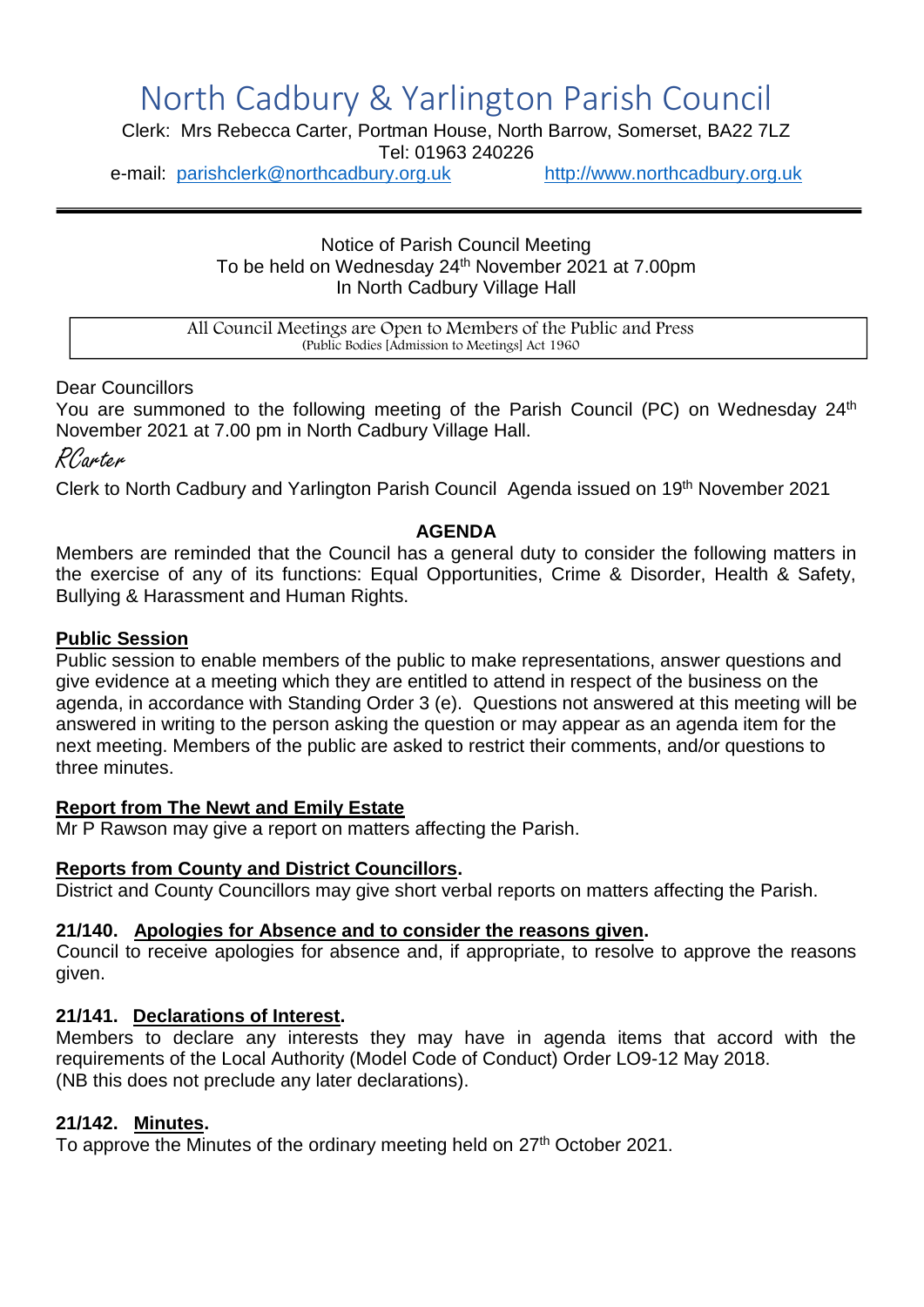# North Cadbury & Yarlington Parish Council

Clerk: Mrs Rebecca Carter, Portman House, North Barrow, Somerset, BA22 7LZ

Tel: 01963 240226

e-mail: [parishclerk@northcadbury.org.uk](mailto:parishclerk@northcadbury.org.uk) [http://www.northcadbury.org.uk](http://www.northcadbury.org.uk/)

Notice of Parish Council Meeting To be held on Wednesday 24<sup>th</sup> November 2021 at 7.00pm In North Cadbury Village Hall

All Council Meetings are Open to Members of the Public and Press (Public Bodies [Admission to Meetings] Act 1960

Dear Councillors

You are summoned to the following meeting of the Parish Council (PC) on Wednesday 24<sup>th</sup> November 2021 at 7.00 pm in North Cadbury Village Hall.

RCarter

Clerk to North Cadbury and Yarlington Parish Council Agenda issued on 19th November 2021

# **AGENDA**

Members are reminded that the Council has a general duty to consider the following matters in the exercise of any of its functions: Equal Opportunities, Crime & Disorder, Health & Safety, Bullying & Harassment and Human Rights.

# **Public Session**

Public session to enable members of the public to make representations, answer questions and give evidence at a meeting which they are entitled to attend in respect of the business on the agenda, in accordance with Standing Order 3 (e). Questions not answered at this meeting will be answered in writing to the person asking the question or may appear as an agenda item for the next meeting. Members of the public are asked to restrict their comments, and/or questions to three minutes.

# **Report from The Newt and Emily Estate**

Mr P Rawson may give a report on matters affecting the Parish.

# **Reports from County and District Councillors.**

District and County Councillors may give short verbal reports on matters affecting the Parish.

# **21/140. Apologies for Absence and to consider the reasons given.**

Council to receive apologies for absence and, if appropriate, to resolve to approve the reasons given.

# **21/141. Declarations of Interest.**

Members to declare any interests they may have in agenda items that accord with the requirements of the Local Authority (Model Code of Conduct) Order LO9-12 May 2018. (NB this does not preclude any later declarations).

# **21/142. Minutes.**

To approve the Minutes of the ordinary meeting held on 27<sup>th</sup> October 2021.